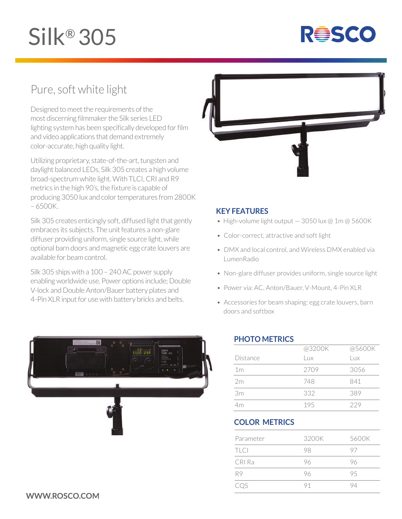# Silk® 305



# Pure, soft white light

Designed to meet the requirements of the most discerning filmmaker the Silk series LED lighting system has been specifically developed for film and video applications that demand extremely color-accurate, high quality light.

Utilizing proprietary, state-of-the-art, tungsten and daylight balanced LEDs, Silk 305 creates a high volume broad-spectrum white light. With TLCI, CRI and R9 metrics in the high 90's, the fixture is capable of producing 3050 lux and color temperatures from 2800K – 6500K.

Silk 305 creates enticingly soft, diffused light that gently embraces its subjects. The unit features a non-glare diffuser providing uniform, single source light, while optional barn doors and magnetic egg crate louvers are available for beam control.

Silk 305 ships with a 100 – 240 AC power supply enabling worldwide use. Power options include; Double V-lock and Double Anton/Bauer battery plates and 4-Pin XLR input for use with battery bricks and belts.



### **KEY FEATURES**

- High-volume light output  $-3050$  lux @ 1m @ 5600K
- Color-correct, attractive and soft light
- DMX and local control, and Wireless DMX enabled via LumenRadio
- Non-glare diffuser provides uniform, single source light
- Power via: AC, Anton/Bauer, V-Mount, 4-Pin XLR
- Accessories for beam shaping: egg crate louvers, barn doors and softbox



### **PHOTO METRICS**

|                | @3200K | @5600K |
|----------------|--------|--------|
| Distance       | Lux    | Lux.   |
| 1 <sub>m</sub> | 2709   | 3056   |
| 2m             | 748    | 841    |
| 3m             | 332    | 389    |
| 4m             | 195    | 229    |

## **COLOR METRICS**

| Parameter | 3200K | 5600K |  |  |
|-----------|-------|-------|--|--|
| TLCI      | 98    | 97    |  |  |
| CRI Ra    | 96    | 96    |  |  |
| R9        | 96    | 95    |  |  |
| CQS       | 91    | 94    |  |  |

## WWW.ROSCO.COM